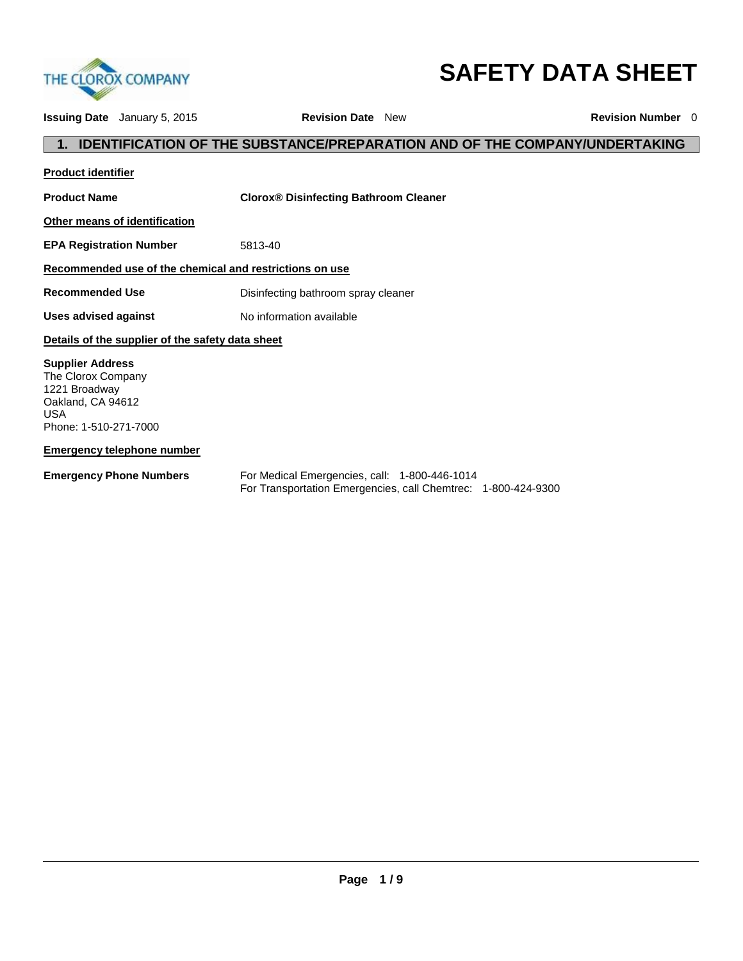

# **SAFETY DATA SHEET**

**Issuing Date** January 5, 2015 **Revision Date** New **Revision Number** 0 **1. IDENTIFICATION OF THE SUBSTANCE/PREPARATION AND OF THE COMPANY/UNDERTAKING Product identifier Product Name Clorox® Disinfecting Bathroom Cleaner Other means of identification EPA Registration Number** 5813-40 **Recommended use of the chemical and restrictions on use Recommended Use Disinfecting bathroom spray cleaner Uses advised against** No information available **Details of the supplier of the safety data sheet Supplier Address** The Clorox Company 1221 Broadway Oakland, CA 94612 USA Phone: 1-510-271-7000

**Emergency telephone number**

**Emergency Phone Numbers** For Medical Emergencies, call: 1-800-446-1014 For Transportation Emergencies, call Chemtrec: 1-800-424-9300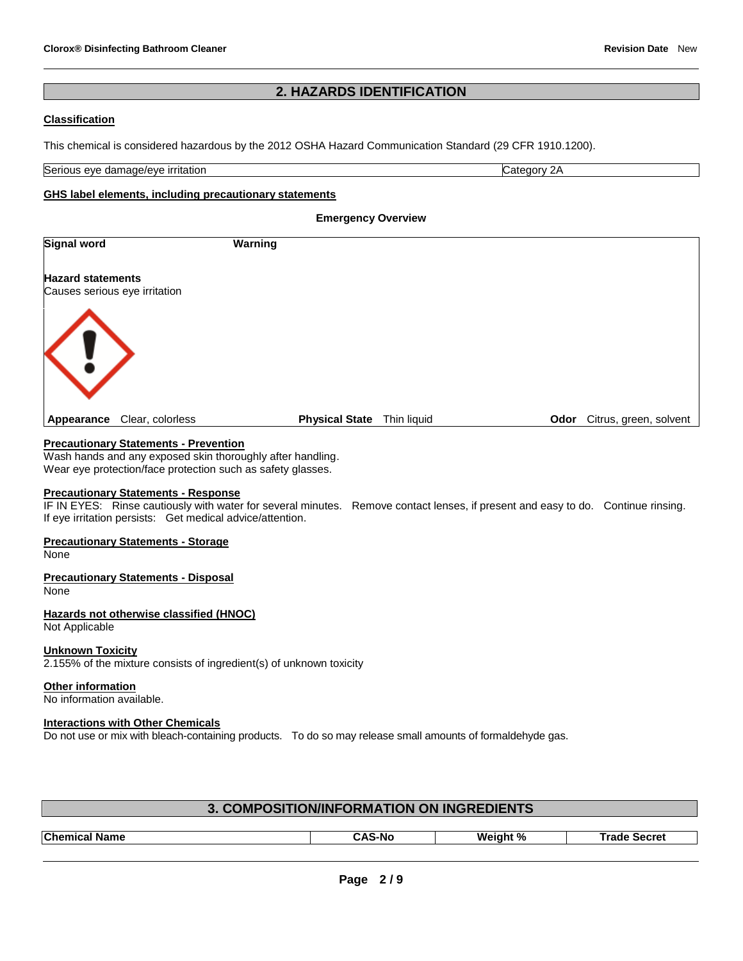# **2. HAZARDS IDENTIFICATION**

# **Classification**

This chemical is considered hazardous by the 2012 OSHA Hazard Communication Standard (29 CFR 1910.1200).

Serious eye damage/eye irritation **Category 2A** extends the Category 2A

# **GHS label elements, including precautionary statements**

**Emergency Overview** 

| <b>Signal word</b>                                        | Warning               |             |      |                        |
|-----------------------------------------------------------|-----------------------|-------------|------|------------------------|
| <b>Hazard statements</b><br>Causes serious eye irritation |                       |             |      |                        |
| $\langle ! \rangle$                                       |                       |             |      |                        |
| Clear, colorless<br>Appearance                            | <b>Physical State</b> | Thin liquid | Odor | Citrus, green, solvent |

# **Precautionary Statements - Prevention**

Wash hands and any exposed skin thoroughly after handling. Wear eye protection/face protection such as safety glasses.

# **Precautionary Statements - Response**

IF IN EYES: Rinse cautiously with water for several minutes. Remove contact lenses, if present and easy to do. Continue rinsing. If eye irritation persists: Get medical advice/attention.

# **Precautionary Statements - Storage**

None

# **Precautionary Statements - Disposal**

None

# **Hazards not otherwise classified (HNOC)**

Not Applicable

# **Unknown Toxicity**

2.155% of the mixture consists of ingredient(s) of unknown toxicity

#### **Other information**

No information available.

# **Interactions with Other Chemicals**

Do not use or mix with bleach-containing products. To do so may release small amounts of formaldehyde gas.

| 3. COMPOSITION/INFORMATION ON INGREDIENTS |               |          |                     |
|-------------------------------------------|---------------|----------|---------------------|
|                                           |               |          |                     |
| <b>Chemical Name</b>                      | <b>CAS-No</b> | Weight % | <b>Trade Secret</b> |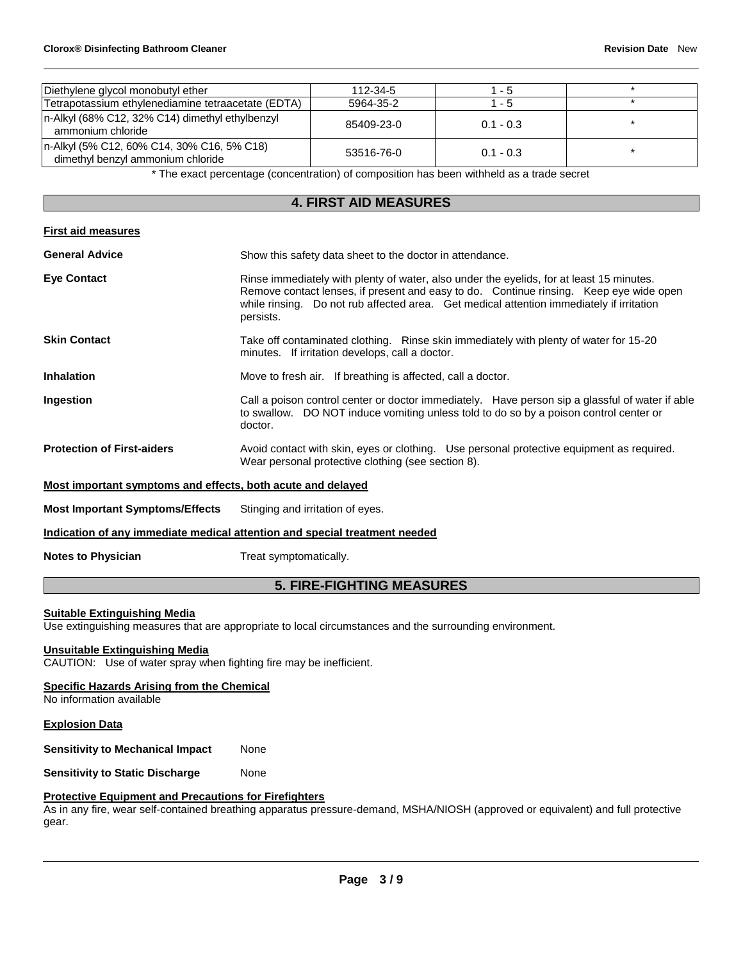| Diethylene glycol monobutyl ether                                               |                                                                                                                                                                                                                                                                                                | 112-34-5                                                 | $1 - 5$                                                                                   |         |
|---------------------------------------------------------------------------------|------------------------------------------------------------------------------------------------------------------------------------------------------------------------------------------------------------------------------------------------------------------------------------------------|----------------------------------------------------------|-------------------------------------------------------------------------------------------|---------|
| Tetrapotassium ethylenediamine tetraacetate (EDTA)                              |                                                                                                                                                                                                                                                                                                | 5964-35-2                                                | $1 - 5$                                                                                   | $\star$ |
| n-Alkyl (68% C12, 32% C14) dimethyl ethylbenzyl<br>ammonium chloride            |                                                                                                                                                                                                                                                                                                | 85409-23-0                                               | $0.1 - 0.3$                                                                               | $\star$ |
| n-Alkyl (5% C12, 60% C14, 30% C16, 5% C18)<br>dimethyl benzyl ammonium chloride |                                                                                                                                                                                                                                                                                                | 53516-76-0                                               | $0.1 - 0.3$                                                                               | $\star$ |
|                                                                                 |                                                                                                                                                                                                                                                                                                |                                                          | * The exact percentage (concentration) of composition has been withheld as a trade secret |         |
|                                                                                 |                                                                                                                                                                                                                                                                                                | <b>4. FIRST AID MEASURES</b>                             |                                                                                           |         |
| <b>First aid measures</b>                                                       |                                                                                                                                                                                                                                                                                                |                                                          |                                                                                           |         |
| <b>General Advice</b>                                                           |                                                                                                                                                                                                                                                                                                | Show this safety data sheet to the doctor in attendance. |                                                                                           |         |
| <b>Eye Contact</b>                                                              | Rinse immediately with plenty of water, also under the eyelids, for at least 15 minutes.<br>Remove contact lenses, if present and easy to do. Continue rinsing. Keep eye wide open<br>Do not rub affected area. Get medical attention immediately if irritation<br>while rinsing.<br>persists. |                                                          |                                                                                           |         |
| <b>Skin Contact</b>                                                             | Take off contaminated clothing. Rinse skin immediately with plenty of water for 15-20<br>minutes. If irritation develops, call a doctor.                                                                                                                                                       |                                                          |                                                                                           |         |
| <b>Inhalation</b>                                                               | Move to fresh air. If breathing is affected, call a doctor.                                                                                                                                                                                                                                    |                                                          |                                                                                           |         |
| Ingestion                                                                       | Call a poison control center or doctor immediately. Have person sip a glassful of water if able<br>to swallow. DO NOT induce vomiting unless told to do so by a poison control center or<br>doctor.                                                                                            |                                                          |                                                                                           |         |
| <b>Protection of First-aiders</b>                                               | Avoid contact with skin, eyes or clothing. Use personal protective equipment as required.<br>Wear personal protective clothing (see section 8).                                                                                                                                                |                                                          |                                                                                           |         |
| Most important symptoms and effects, both acute and delayed                     |                                                                                                                                                                                                                                                                                                |                                                          |                                                                                           |         |
| <b>Most Important Symptoms/Effects</b>                                          | Stinging and irritation of eyes.                                                                                                                                                                                                                                                               |                                                          |                                                                                           |         |
| Indication of any immediate medical attention and special treatment needed      |                                                                                                                                                                                                                                                                                                |                                                          |                                                                                           |         |
| <b>Notes to Physician</b>                                                       | Treat symptomatically.                                                                                                                                                                                                                                                                         |                                                          |                                                                                           |         |

# **5. FIRE-FIGHTING MEASURES**

# **Suitable Extinguishing Media**

Use extinguishing measures that are appropriate to local circumstances and the surrounding environment.

### **Unsuitable Extinguishing Media**

CAUTION: Use of water spray when fighting fire may be inefficient.

# **Specific Hazards Arising from the Chemical**

No information available

# **Explosion Data**

**Sensitivity to Mechanical Impact None** 

**Sensitivity to Static Discharge Mone** 

# **Protective Equipment and Precautions for Firefighters**

As in any fire, wear self-contained breathing apparatus pressure-demand, MSHA/NIOSH (approved or equivalent) and full protective gear.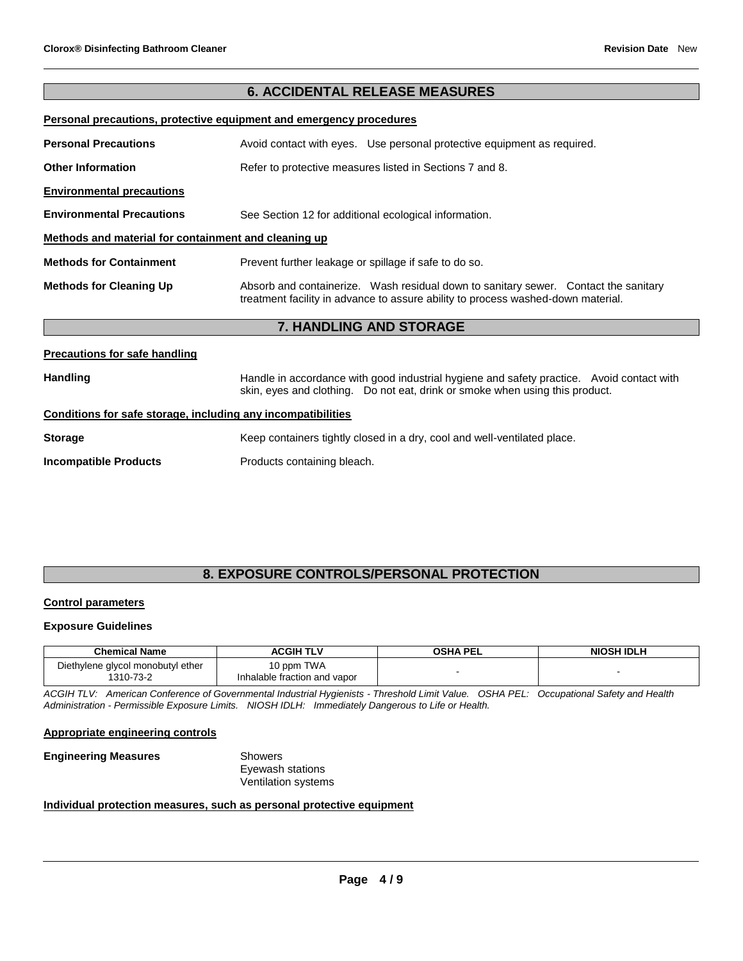# **6. ACCIDENTAL RELEASE MEASURES**

# **Personal precautions, protective equipment and emergency procedures**

| <b>Personal Precautions</b>                          | Avoid contact with eyes. Use personal protective equipment as required.                                                                                                 |
|------------------------------------------------------|-------------------------------------------------------------------------------------------------------------------------------------------------------------------------|
| <b>Other Information</b>                             | Refer to protective measures listed in Sections 7 and 8.                                                                                                                |
| <b>Environmental precautions</b>                     |                                                                                                                                                                         |
| <b>Environmental Precautions</b>                     | See Section 12 for additional ecological information.                                                                                                                   |
| Methods and material for containment and cleaning up |                                                                                                                                                                         |
| <b>Methods for Containment</b>                       | Prevent further leakage or spillage if safe to do so.                                                                                                                   |
| <b>Methods for Cleaning Up</b>                       | Absorb and containerize. Wash residual down to sanitary sewer. Contact the sanitary<br>treatment facility in advance to assure ability to process washed-down material. |
|                                                      | 7 HANDI ING AND STORAGE                                                                                                                                                 |

# **7. HANDLING AND STORAGE**

# **Precautions for safe handling** Handling **Handle in accordance with good industrial hygiene and safety practice. Avoid contact with and the same contact with** skin, eyes and clothing. Do not eat, drink or smoke when using this product. **Conditions for safe storage, including any incompatibilities Storage** Keep containers tightly closed in a dry, cool and well-ventilated place. **Incompatible Products** Products Products containing bleach.

# **8. EXPOSURE CONTROLS/PERSONAL PROTECTION**

# **Control parameters**

# **Exposure Guidelines**

| <b>Chemical Name</b>                           | <b>ACGIH TLV</b>                           | OSHA PEL | <b>NIOSH IDLH</b> |
|------------------------------------------------|--------------------------------------------|----------|-------------------|
| Diethylene glycol monobutyl ether<br>1310-73-2 | 10 ppm TWA<br>Inhalable fraction and vapor |          |                   |

*ACGIH TLV: American Conference of Governmental Industrial Hygienists - Threshold Limit Value. OSHA PEL: Occupational Safety and Health Administration - Permissible Exposure Limits. NIOSH IDLH: Immediately Dangerous to Life or Health.*

#### **Appropriate engineering controls**

| <b>Engineering Measures</b> | Showers                    |
|-----------------------------|----------------------------|
|                             | Eyewash stations           |
|                             | <b>Ventilation systems</b> |

# **Individual protection measures, such as personal protective equipment**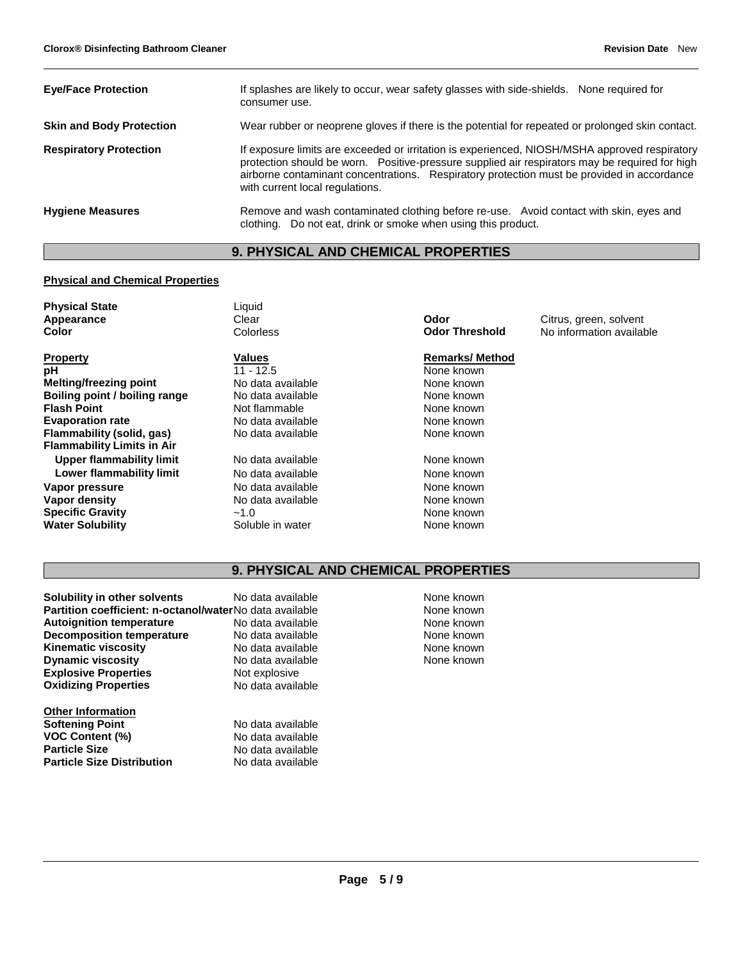| <b>Eye/Face Protection</b>      | If splashes are likely to occur, wear safety glasses with side-shields. None required for<br>consumer use.                                                                                                                                                                                                                       |
|---------------------------------|----------------------------------------------------------------------------------------------------------------------------------------------------------------------------------------------------------------------------------------------------------------------------------------------------------------------------------|
| <b>Skin and Body Protection</b> | Wear rubber or neoprene gloves if there is the potential for repeated or prolonged skin contact.                                                                                                                                                                                                                                 |
| <b>Respiratory Protection</b>   | If exposure limits are exceeded or irritation is experienced, NIOSH/MSHA approved respiratory<br>protection should be worn. Positive-pressure supplied air respirators may be required for high<br>airborne contaminant concentrations. Respiratory protection must be provided in accordance<br>with current local regulations. |
| <b>Hygiene Measures</b>         | Remove and wash contaminated clothing before re-use. Avoid contact with skin, eyes and<br>clothing. Do not eat, drink or smoke when using this product.                                                                                                                                                                          |

# **9. PHYSICAL AND CHEMICAL PROPERTIES**

# **Physical and Chemical Properties**

| <b>Physical State</b><br>Appearance<br>Color | Liquid<br>Clear<br>Colorless | Odor<br><b>Odor Threshold</b> | Citrus, green, solvent<br>No information available |
|----------------------------------------------|------------------------------|-------------------------------|----------------------------------------------------|
| <b>Property</b>                              | Values                       | <b>Remarks/Method</b>         |                                                    |
| рH                                           | $11 - 12.5$                  | None known                    |                                                    |
| <b>Melting/freezing point</b>                | No data available            | None known                    |                                                    |
| Boiling point / boiling range                | No data available            | None known                    |                                                    |
| <b>Flash Point</b>                           | Not flammable                | None known                    |                                                    |
| <b>Evaporation rate</b>                      | No data available            | None known                    |                                                    |
| Flammability (solid, gas)                    | No data available            | None known                    |                                                    |
| <b>Flammability Limits in Air</b>            |                              |                               |                                                    |
| Upper flammability limit                     | No data available            | None known                    |                                                    |
| Lower flammability limit                     | No data available            | None known                    |                                                    |
| Vapor pressure                               | No data available            | None known                    |                                                    |
| Vapor density                                | No data available            | None known                    |                                                    |
| <b>Specific Gravity</b>                      | $-1.0$                       | None known                    |                                                    |
| <b>Water Solubility</b>                      | Soluble in water             | None known                    |                                                    |
|                                              |                              |                               |                                                    |

# **9. PHYSICAL AND CHEMICAL PROPERTIES**

| Solubility in other solvents                            | No data available |
|---------------------------------------------------------|-------------------|
| Partition coefficient: n-octanol/waterNo data available |                   |
| <b>Autoignition temperature</b>                         | No data available |
| <b>Decomposition temperature</b>                        | No data available |
| <b>Kinematic viscosity</b>                              | No data available |
| <b>Dynamic viscosity</b>                                | No data available |
| <b>Explosive Properties</b>                             | Not explosive     |
| <b>Oxidizing Properties</b>                             | No data available |
| <b>Other Information</b>                                |                   |
| <b>Softening Point</b>                                  | No data available |
| <b>VOC Content (%)</b>                                  | No data available |

**Particle Size**<br> **Particle Size Distribution**<br>
No data available **Particle Size Distribution** 

None known None known **None known None known None known None known**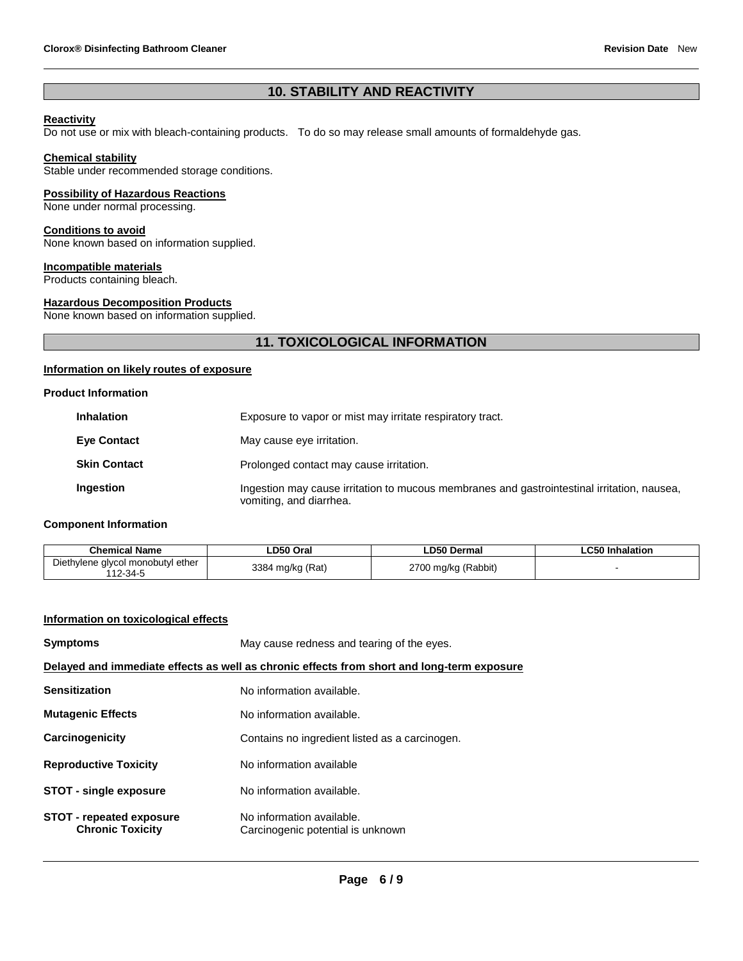# **10. STABILITY AND REACTIVITY**

# **Reactivity**

Do not use or mix with bleach-containing products. To do so may release small amounts of formaldehyde gas.

# **Chemical stability**

Stable under recommended storage conditions.

# **Possibility of Hazardous Reactions**

None under normal processing.

# **Conditions to avoid**

None known based on information supplied.

# **Incompatible materials**

Products containing bleach.

# **Hazardous Decomposition Products**

None known based on information supplied.

# **11. TOXICOLOGICAL INFORMATION**

# **Information on likely routes of exposure**

### **Product Information**

| <b>Inhalation</b>   | Exposure to vapor or mist may irritate respiratory tract.                                                              |
|---------------------|------------------------------------------------------------------------------------------------------------------------|
| <b>Eye Contact</b>  | May cause eye irritation.                                                                                              |
| <b>Skin Contact</b> | Prolonged contact may cause irritation.                                                                                |
| Ingestion           | Ingestion may cause irritation to mucous membranes and gastrointestinal irritation, nausea,<br>vomiting, and diarrhea. |

# **Component Information**

| Chemical Name                     | _D50 Oral     | <b>LD50 Dermal</b> | C50 Inhalation<br>LUJU |
|-----------------------------------|---------------|--------------------|------------------------|
| Diethylene glycol monobutyl ether | 3384          | 2700               |                        |
| 112-34-5                          | l mg/kg (Rat) | 0 mg/kg (Rabbit)   |                        |

# **Information on toxicological effects**

| <b>Symptoms</b>                                                                            | May cause redness and tearing of the eyes.                     |  |
|--------------------------------------------------------------------------------------------|----------------------------------------------------------------|--|
| Delayed and immediate effects as well as chronic effects from short and long-term exposure |                                                                |  |
| <b>Sensitization</b>                                                                       | No information available.                                      |  |
| <b>Mutagenic Effects</b>                                                                   | No information available.                                      |  |
| Carcinogenicity                                                                            | Contains no ingredient listed as a carcinogen.                 |  |
| <b>Reproductive Toxicity</b>                                                               | No information available                                       |  |
| <b>STOT - single exposure</b>                                                              | No information available.                                      |  |
| <b>STOT - repeated exposure</b><br><b>Chronic Toxicity</b>                                 | No information available.<br>Carcinogenic potential is unknown |  |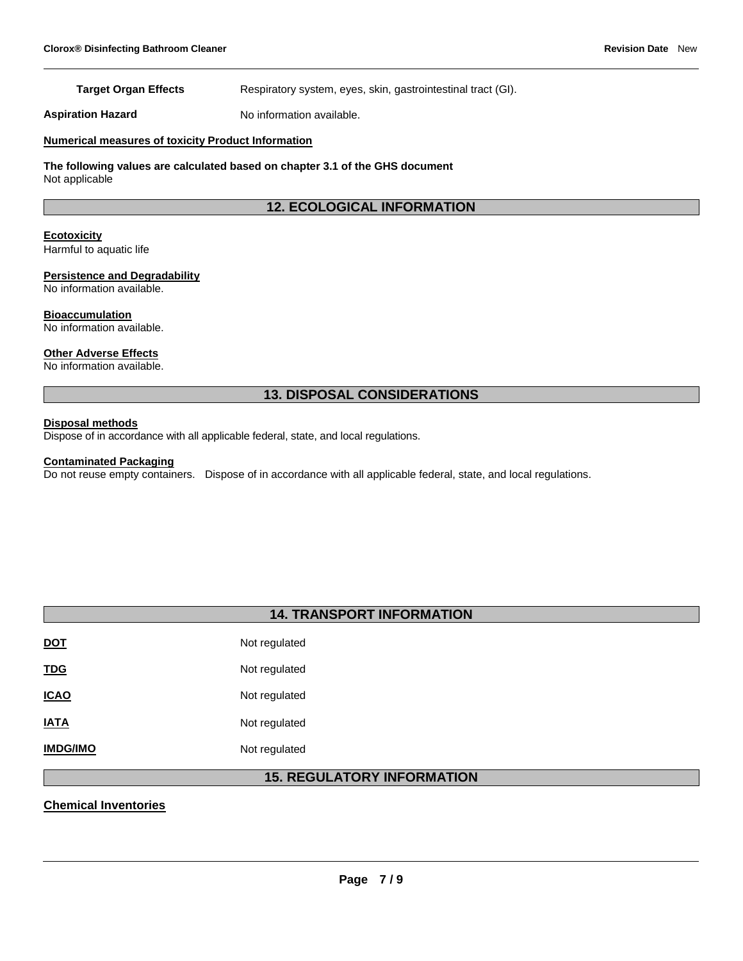# **Target Organ Effects** Respiratory system, eyes, skin, gastrointestinal tract (GI).

**Aspiration Hazard** No information available.

# **Numerical measures of toxicity Product Information**

**The following values are calculated based on chapter 3.1 of the GHS document** Not applicable

# **12. ECOLOGICAL INFORMATION**

# **Ecotoxicity**

Harmful to aquatic life

### **Persistence and Degradability**

No information available.

#### **Bioaccumulation**

No information available.

# **Other Adverse Effects**

No information available.

# **13. DISPOSAL CONSIDERATIONS**

# **Disposal methods**

Dispose of in accordance with all applicable federal, state, and local regulations.

# **Contaminated Packaging**

Do not reuse empty containers. Dispose of in accordance with all applicable federal, state, and local regulations.

# **14. TRANSPORT INFORMATION**

| Not regulated |
|---------------|
| Not regulated |
| Not regulated |
| Not regulated |
| Not regulated |
|               |

# **15. REGULATORY INFORMATION**

# **Chemical Inventories**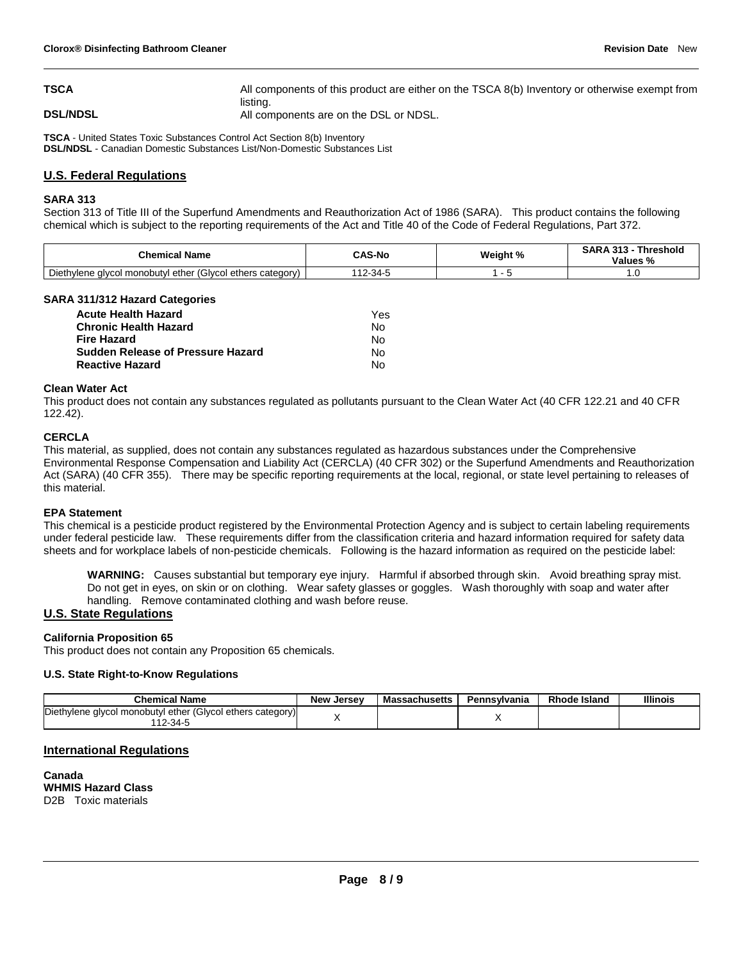**TSCA All components of this product are either on the TSCA 8(b) Inventory or otherwise exempt from** listing. **DSL/NDSL DSL/NDSL All components are on the DSL or NDSL.** 

**TSCA** - United States Toxic Substances Control Act Section 8(b) Inventory **DSL/NDSL** - Canadian Domestic Substances List/Non-Domestic Substances List

# **U.S. Federal Regulations**

### **SARA 313**

Section 313 of Title III of the Superfund Amendments and Reauthorization Act of 1986 (SARA). This product contains the following chemical which is subject to the reporting requirements of the Act and Title 40 of the Code of Federal Regulations, Part 372.

| <b>Chemical Name</b>                                                 | <b>CAS-No</b> | Weight % | <b>Threshold</b><br>RARA313<br>.242<br>Values %<br>7٥ |
|----------------------------------------------------------------------|---------------|----------|-------------------------------------------------------|
| l ether (Glycol ethers category)<br>Diethylene<br>, alvcol monobutyl | $2-34$        |          |                                                       |

### **SARA 311/312 Hazard Categories**

| <b>Acute Health Hazard</b>               | Yes |
|------------------------------------------|-----|
| <b>Chronic Health Hazard</b>             | N٥  |
| <b>Fire Hazard</b>                       | N٥  |
| <b>Sudden Release of Pressure Hazard</b> | N٥  |
| <b>Reactive Hazard</b>                   | Nο  |

### **Clean Water Act**

This product does not contain any substances regulated as pollutants pursuant to the Clean Water Act (40 CFR 122.21 and 40 CFR 122.42).

### **CERCLA**

This material, as supplied, does not contain any substances regulated as hazardous substances under the Comprehensive Environmental Response Compensation and Liability Act (CERCLA) (40 CFR 302) or the Superfund Amendments and Reauthorization Act (SARA) (40 CFR 355). There may be specific reporting requirements at the local, regional, or state level pertaining to releases of this material.

#### **EPA Statement**

This chemical is a pesticide product registered by the Environmental Protection Agency and is subject to certain labeling requirements under federal pesticide law. These requirements differ from the classification criteria and hazard information required for safety data sheets and for workplace labels of non-pesticide chemicals. Following is the hazard information as required on the pesticide label:

**WARNING:** Causes substantial but temporary eye injury. Harmful if absorbed through skin. Avoid breathing spray mist. Do not get in eyes, on skin or on clothing. Wear safety glasses or goggles. Wash thoroughly with soap and water after handling. Remove contaminated clothing and wash before reuse.

# **U.S. State Regulations**

# **California Proposition 65**

This product does not contain any Proposition 65 chemicals.

# **U.S. State Right-to-Know Regulations**

| <b>Chemical Name</b>                                                        | <b>New Jersey</b> | Massachusetts | Pennsvlvania | <b>Rhode Island</b> | <b>Illinois</b> |
|-----------------------------------------------------------------------------|-------------------|---------------|--------------|---------------------|-----------------|
| Diethylene glycol monobutyl ether (Glycol ethers category)<br>$12 - 34 - 5$ |                   |               |              |                     |                 |

# **International Regulations**

**Canada WHMIS Hazard Class** D2B Toxic materials